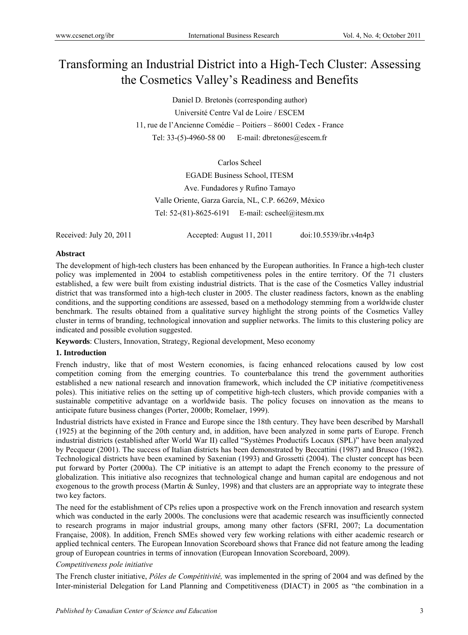# Transforming an Industrial District into a High-Tech Cluster: Assessing the Cosmetics Valley's Readiness and Benefits

Daniel D. Bretonès (corresponding author) Université Centre Val de Loire / ESCEM 11, rue de l'Ancienne Comédie – Poitiers – 86001 Cedex - France Tel: 33-(5)-4960-58 00 E-mail: dbretones@escem.fr

Carlos Scheel

EGADE Business School, ITESM Ave. Fundadores y Rufino Tamayo Valle Oriente, Garza García, NL, C.P. 66269, México Tel: 52-(81)-8625-6191 E-mail: cscheel@itesm.mx

Received: July 20, 2011 **Accepted: August 11, 2011** doi:10.5539/ibr.v4n4p3

## **Abstract**

The development of high-tech clusters has been enhanced by the European authorities. In France a high-tech cluster policy was implemented in 2004 to establish competitiveness poles in the entire territory. Of the 71 clusters established, a few were built from existing industrial districts. That is the case of the Cosmetics Valley industrial district that was transformed into a high-tech cluster in 2005. The cluster readiness factors, known as the enabling conditions, and the supporting conditions are assessed, based on a methodology stemming from a worldwide cluster benchmark. The results obtained from a qualitative survey highlight the strong points of the Cosmetics Valley cluster in terms of branding, technological innovation and supplier networks. The limits to this clustering policy are indicated and possible evolution suggested.

**Keywords**: Clusters, Innovation, Strategy, Regional development, Meso economy

## **1. Introduction**

French industry, like that of most Western economies, is facing enhanced relocations caused by low cost competition coming from the emerging countries. To counterbalance this trend the government authorities established a new national research and innovation framework, which included the CP initiative *(*competitiveness poles). This initiative relies on the setting up of competitive high-tech clusters, which provide companies with a sustainable competitive advantage on a worldwide basis. The policy focuses on innovation as the means to anticipate future business changes (Porter, 2000b; Romelaer, 1999).

Industrial districts have existed in France and Europe since the 18th century. They have been described by Marshall (1925) at the beginning of the 20th century and, in addition, have been analyzed in some parts of Europe. French industrial districts (established after World War II) called "Systèmes Productifs Locaux (SPL)" have been analyzed by Pecqueur (2001). The success of Italian districts has been demonstrated by Beccattini (1987) and Brusco (1982). Technological districts have been examined by Saxenian (1993) and Grossetti (2004). The cluster concept has been put forward by Porter (2000a). The CP initiative is an attempt to adapt the French economy to the pressure of globalization. This initiative also recognizes that technological change and human capital are endogenous and not exogenous to the growth process (Martin  $\&$  Sunley, 1998) and that clusters are an appropriate way to integrate these two key factors.

The need for the establishment of CPs relies upon a prospective work on the French innovation and research system which was conducted in the early 2000s. The conclusions were that academic research was insufficiently connected to research programs in major industrial groups, among many other factors (SFRI, 2007; La documentation Française, 2008). In addition, French SMEs showed very few working relations with either academic research or applied technical centers. The European Innovation Scoreboard shows that France did not feature among the leading group of European countries in terms of innovation (European Innovation Scoreboard, 2009).

## *Competitiveness pole initiative*

The French cluster initiative, *Pôles de Compétitivité,* was implemented in the spring of 2004 and was defined by the Inter-ministerial Delegation for Land Planning and Competitiveness (DIACT) in 2005 as "the combination in a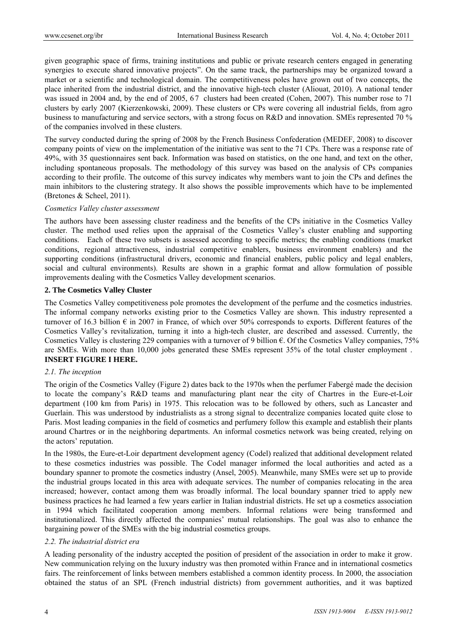given geographic space of firms, training institutions and public or private research centers engaged in generating synergies to execute shared innovative projects". On the same track, the partnerships may be organized toward a market or a scientific and technological domain. The competitiveness poles have grown out of two concepts, the place inherited from the industrial district, and the innovative high-tech cluster (Aliouat, 2010). A national tender was issued in 2004 and, by the end of 2005, 67 clusters had been created (Cohen, 2007). This number rose to 71 clusters by early 2007 (Kierzenkowski, 2009). These clusters or CPs were covering all industrial fields, from agro business to manufacturing and service sectors, with a strong focus on R&D and innovation. SMEs represented 70 % of the companies involved in these clusters.

The survey conducted during the spring of 2008 by the French Business Confederation (MEDEF, 2008) to discover company points of view on the implementation of the initiative was sent to the 71 CPs. There was a response rate of 49%, with 35 questionnaires sent back. Information was based on statistics, on the one hand, and text on the other, including spontaneous proposals. The methodology of this survey was based on the analysis of CPs companies according to their profile. The outcome of this survey indicates why members want to join the CPs and defines the main inhibitors to the clustering strategy. It also shows the possible improvements which have to be implemented (Bretones & Scheel, 2011).

### *Cosmetics Valley cluster assessment*

The authors have been assessing cluster readiness and the benefits of the CPs initiative in the Cosmetics Valley cluster. The method used relies upon the appraisal of the Cosmetics Valley's cluster enabling and supporting conditions. Each of these two subsets is assessed according to specific metrics; the enabling conditions (market conditions, regional attractiveness, industrial competitive enablers, business environment enablers) and the supporting conditions (infrastructural drivers, economic and financial enablers, public policy and legal enablers, social and cultural environments). Results are shown in a graphic format and allow formulation of possible improvements dealing with the Cosmetics Valley development scenarios.

## **2. The Cosmetics Valley Cluster**

The Cosmetics Valley competitiveness pole promotes the development of the perfume and the cosmetics industries. The informal company networks existing prior to the Cosmetics Valley are shown. This industry represented a turnover of 16.3 billion  $\epsilon$  in 2007 in France, of which over 50% corresponds to exports. Different features of the Cosmetics Valley's revitalization, turning it into a high-tech cluster, are described and assessed. Currently, the Cosmetics Valley is clustering 229 companies with a turnover of 9 billion €. Of the Cosmetics Valley companies, 75% are SMEs. With more than 10,000 jobs generated these SMEs represent 35% of the total cluster employment . **INSERT FIGURE I HERE.**

## *2.1. The inception*

The origin of the Cosmetics Valley (Figure 2) dates back to the 1970s when the perfumer Fabergé made the decision to locate the company's R&D teams and manufacturing plant near the city of Chartres in the Eure-et-Loir department (100 km from Paris) in 1975. This relocation was to be followed by others, such as Lancaster and Guerlain. This was understood by industrialists as a strong signal to decentralize companies located quite close to Paris. Most leading companies in the field of cosmetics and perfumery follow this example and establish their plants around Chartres or in the neighboring departments. An informal cosmetics network was being created, relying on the actors' reputation.

In the 1980s, the Eure-et-Loir department development agency (Codel) realized that additional development related to these cosmetics industries was possible. The Codel manager informed the local authorities and acted as a boundary spanner to promote the cosmetics industry (Ansel, 2005). Meanwhile, many SMEs were set up to provide the industrial groups located in this area with adequate services. The number of companies relocating in the area increased; however, contact among them was broadly informal. The local boundary spanner tried to apply new business practices he had learned a few years earlier in Italian industrial districts. He set up a cosmetics association in 1994 which facilitated cooperation among members. Informal relations were being transformed and institutionalized. This directly affected the companies' mutual relationships. The goal was also to enhance the bargaining power of the SMEs with the big industrial cosmetics groups.

## *2.2. The industrial district era*

A leading personality of the industry accepted the position of president of the association in order to make it grow. New communication relying on the luxury industry was then promoted within France and in international cosmetics fairs. The reinforcement of links between members established a common identity process. In 2000, the association obtained the status of an SPL (French industrial districts) from government authorities, and it was baptized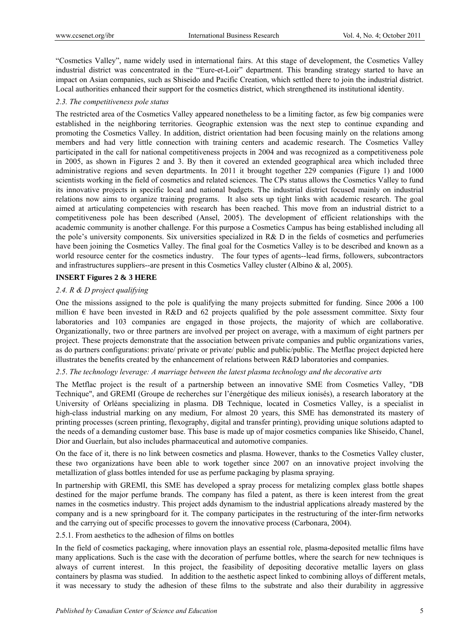"Cosmetics Valley", name widely used in international fairs. At this stage of development, the Cosmetics Valley industrial district was concentrated in the "Eure-et-Loir" department. This branding strategy started to have an impact on Asian companies, such as Shiseido and Pacific Creation, which settled there to join the industrial district. Local authorities enhanced their support for the cosmetics district, which strengthened its institutional identity.

## *2.3. The competitiveness pole status*

The restricted area of the Cosmetics Valley appeared nonetheless to be a limiting factor, as few big companies were established in the neighboring territories. Geographic extension was the next step to continue expanding and promoting the Cosmetics Valley. In addition, district orientation had been focusing mainly on the relations among members and had very little connection with training centers and academic research. The Cosmetics Valley participated in the call for national competitiveness projects in 2004 and was recognized as a competitiveness pole in 2005, as shown in Figures 2 and 3. By then it covered an extended geographical area which included three administrative regions and seven departments. In 2011 it brought together 229 companies (Figure 1) and 1000 scientists working in the field of cosmetics and related sciences. The CPs status allows the Cosmetics Valley to fund its innovative projects in specific local and national budgets. The industrial district focused mainly on industrial relations now aims to organize training programs. It also sets up tight links with academic research. The goal aimed at articulating competencies with research has been reached. This move from an industrial district to a competitiveness pole has been described (Ansel, 2005). The development of efficient relationships with the academic community is another challenge. For this purpose a Cosmetics Campus has being established including all the pole's university components. Six universities specialized in R& D in the fields of cosmetics and perfumeries have been joining the Cosmetics Valley. The final goal for the Cosmetics Valley is to be described and known as a world resource center for the cosmetics industry. The four types of agents--lead firms, followers, subcontractors and infrastructures suppliers--are present in this Cosmetics Valley cluster (Albino & al, 2005).

## **INSERT Figures 2 & 3 HERE**

## *2.4. R & D project qualifying*

One the missions assigned to the pole is qualifying the many projects submitted for funding. Since 2006 a 100 million  $\epsilon$  have been invested in R&D and 62 projects qualified by the pole assessment committee. Sixty four laboratories and 103 companies are engaged in those projects, the majority of which are collaborative. Organizationally, two or three partners are involved per project on average, with a maximum of eight partners per project. These projects demonstrate that the association between private companies and public organizations varies, as do partners configurations: private/ private or private/ public and public/public. The Metflac project depicted here illustrates the benefits created by the enhancement of relations between R&D laboratories and companies.

## *2.5*. *The technology leverage: A marriage between the latest plasma technology and the decorative arts*

The Metflac project is the result of a partnership between an innovative SME from Cosmetics Valley, "DB Technique", and GREMI (Groupe de recherches sur l'énergétique des milieux ionisés), a research laboratory at the University of Orléans specializing in plasma. DB Technique, located in Cosmetics Valley, is a specialist in high-class industrial marking on any medium, For almost 20 years, this SME has demonstrated its mastery of printing processes (screen printing, flexography, digital and transfer printing), providing unique solutions adapted to the needs of a demanding customer base. This base is made up of major cosmetics companies like Shiseido, Chanel, Dior and Guerlain, but also includes pharmaceutical and automotive companies.

On the face of it, there is no link between cosmetics and plasma. However, thanks to the Cosmetics Valley cluster, these two organizations have been able to work together since 2007 on an innovative project involving the metallization of glass bottles intended for use as perfume packaging by plasma spraying.

In partnership with GREMI, this SME has developed a spray process for metalizing complex glass bottle shapes destined for the major perfume brands. The company has filed a patent, as there is keen interest from the great names in the cosmetics industry. This project adds dynamism to the industrial applications already mastered by the company and is a new springboard for it. The company participates in the restructuring of the inter-firm networks and the carrying out of specific processes to govern the innovative process (Carbonara, 2004).

## 2.5.1. From aesthetics to the adhesion of films on bottles

In the field of cosmetics packaging, where innovation plays an essential role, plasma-deposited metallic films have many applications. Such is the case with the decoration of perfume bottles, where the search for new techniques is always of current interest. In this project, the feasibility of depositing decorative metallic layers on glass containers by plasma was studied. In addition to the aesthetic aspect linked to combining alloys of different metals, it was necessary to study the adhesion of these films to the substrate and also their durability in aggressive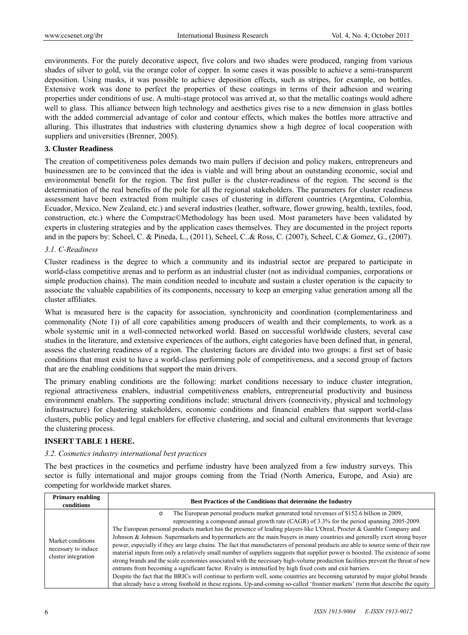environments. For the purely decorative aspect, five colors and two shades were produced, ranging from various shades of silver to gold, via the orange color of copper. In some cases it was possible to achieve a semi-transparent deposition. Using masks, it was possible to achieve deposition effects, such as stripes, for example, on bottles. Extensive work was done to perfect the properties of these coatings in terms of their adhesion and wearing properties under conditions of use. A multi-stage protocol was arrived at, so that the metallic coatings would adhere well to glass. This alliance between high technology and aesthetics gives rise to a new dimension in glass bottles with the added commercial advantage of color and contour effects, which makes the bottles more attractive and alluring. This illustrates that industries with clustering dynamics show a high degree of local cooperation with suppliers and universities (Brenner, 2005).

## **3. Cluster Readiness**

The creation of competitiveness poles demands two main pullers if decision and policy makers, entrepreneurs and businessmen are to be convinced that the idea is viable and will bring about an outstanding economic, social and environmental benefit for the region. The first puller is the cluster-readiness of the region. The second is the determination of the real benefits of the pole for all the regional stakeholders. The parameters for cluster readiness assessment have been extracted from multiple cases of clustering in different countries (Argentina, Colombia, Ecuador, Mexico, New Zealand, etc.) and several industries (leather, software, flower growing, health, textiles, food, construction, etc.) where the Compstrac©Methodology has been used. Most parameters have been validated by experts in clustering strategies and by the application cases themselves. They are documented in the project reports and in the papers by: Scheel, C. & Pineda, L., (2011), Scheel, C..& Ross, C. (2007), Scheel, C.& Gomez, G., (2007).

## *3.1. C-Readiness*

Cluster readiness is the degree to which a community and its industrial sector are prepared to participate in world-class competitive arenas and to perform as an industrial cluster (not as individual companies, corporations or simple production chains). The main condition needed to incubate and sustain a cluster operation is the capacity to associate the valuable capabilities of its components, necessary to keep an emerging value generation among all the cluster affiliates.

What is measured here is the capacity for association, synchronicity and coordination (complementariness and commonality (Note 1)) of all core capabilities among producers of wealth and their complements, to work as a whole systemic unit in a well-connected networked world. Based on successful worldwide clusters, several case studies in the literature, and extensive experiences of the authors, eight categories have been defined that, in general, assess the clustering readiness of a region. The clustering factors are divided into two groups: a first set of basic conditions that must exist to have a world-class performing pole of competitiveness, and a second group of factors that are the enabling conditions that support the main drivers.

The primary enabling conditions are the following: market conditions necessary to induce cluster integration, regional attractiveness enablers, industrial competitiveness enablers, entrepreneurial productivity and business environment enablers. The supporting conditions include: structural drivers (connectivity, physical and technology infrastructure) for clustering stakeholders, economic conditions and financial enablers that support world-class clusters, public policy and legal enablers for effective clustering, and social and cultural environments that leverage the clustering process.

## **INSERT TABLE 1 HERE.**

### *3.2. Cosmetics industry international best practices*

The best practices in the cosmetics and perfume industry have been analyzed from a few industry surveys. This sector is fully international and major groups coming from the Triad (North America, Europe, and Asia) are competing for worldwide market shares.

| <b>Primary enabling</b><br>conditions                           | Best Practices of the Conditions that determine the Industry                                                                                                                                                                                                                                                                                                                                                                                                                                                                                                                                                                                                                                                                                                                                                                                                                                                                                                                                                                                                                                                                                                                                                                                        |
|-----------------------------------------------------------------|-----------------------------------------------------------------------------------------------------------------------------------------------------------------------------------------------------------------------------------------------------------------------------------------------------------------------------------------------------------------------------------------------------------------------------------------------------------------------------------------------------------------------------------------------------------------------------------------------------------------------------------------------------------------------------------------------------------------------------------------------------------------------------------------------------------------------------------------------------------------------------------------------------------------------------------------------------------------------------------------------------------------------------------------------------------------------------------------------------------------------------------------------------------------------------------------------------------------------------------------------------|
| Market conditions<br>necessary to induce<br>cluster integration | The European personal products market generated total revenues of \$152.6 billion in 2009,<br>$\circ$<br>representing a compound annual growth rate (CAGR) of 3.3% for the period spanning 2005-2009.<br>The European personal products market has the presence of leading players like L'Oreal, Procter & Gamble Company and<br>Johnson & Johnson. Supermarkets and hypermarkets are the main buyers in many countries and generally exert strong buyer<br>power, especially if they are large chains. The fact that manufacturers of personal products are able to source some of their raw<br>material inputs from only a relatively small number of suppliers suggests that supplier power is boosted. The existence of some<br>strong brands and the scale economies associated with the necessary high-volume production facilities prevent the threat of new<br>entrants from becoming a significant factor. Rivalry is intensified by high fixed costs and exit barriers.<br>Despite the fact that the BRICs will continue to perform well, some countries are becoming saturated by major global brands<br>that already have a strong foothold in these regions. Up-and-coming so-called 'frontier markets' (term that describe the equity |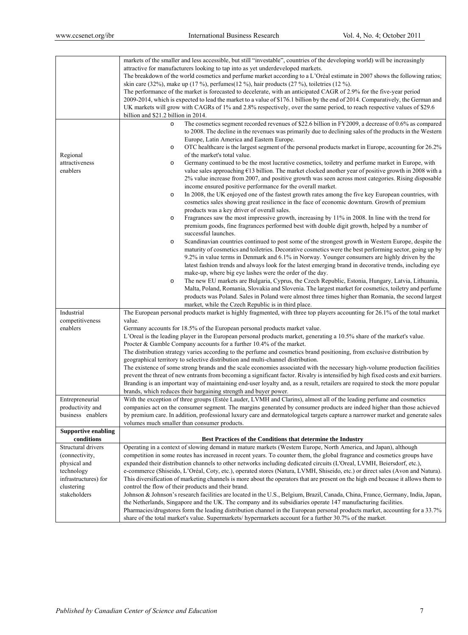|                            | markets of the smaller and less accessible, but still "investable", countries of the developing world) will be increasingly                                                                                   |
|----------------------------|---------------------------------------------------------------------------------------------------------------------------------------------------------------------------------------------------------------|
|                            | attractive for manufacturers looking to tap into as yet underdeveloped markets.                                                                                                                               |
|                            | The breakdown of the world cosmetics and perfume market according to a L'Oréal estimate in 2007 shows the following ratios;                                                                                   |
|                            | skin care (32%), make up (17%), perfumes (12%), hair products (27%), toiletries (12%).                                                                                                                        |
|                            | The performance of the market is forecasted to decelerate, with an anticipated CAGR of 2.9% for the five-year period                                                                                          |
|                            | 2009-2014, which is expected to lead the market to a value of \$176.1 billion by the end of 2014. Comparatively, the German and                                                                               |
|                            | UK markets will grow with CAGRs of 1% and 2.8% respectively, over the same period, to reach respective values of \$29.6                                                                                       |
|                            | billion and \$21.2 billion in 2014.                                                                                                                                                                           |
|                            | The cosmetics segment recorded revenues of \$22.6 billion in FY2009, a decrease of 0.6% as compared<br>$\circ$                                                                                                |
|                            | to 2008. The decline in the revenues was primarily due to declining sales of the products in the Western                                                                                                      |
|                            | Europe, Latin America and Eastern Europe.                                                                                                                                                                     |
|                            | OTC healthcare is the largest segment of the personal products market in Europe, accounting for 26.2%<br>$\circ$                                                                                              |
| Regional                   | of the market's total value.                                                                                                                                                                                  |
| attractiveness             | Germany continued to be the most lucrative cosmetics, toiletry and perfume market in Europe, with<br>$\circ$                                                                                                  |
| enablers                   | value sales approaching $E13$ billion. The market clocked another year of positive growth in 2008 with a                                                                                                      |
|                            | 2% value increase from 2007, and positive growth was seen across most categories. Rising disposable                                                                                                           |
|                            | income ensured positive performance for the overall market.                                                                                                                                                   |
|                            | In 2008, the UK enjoyed one of the fastest growth rates among the five key European countries, with<br>$\circ$                                                                                                |
|                            | cosmetics sales showing great resilience in the face of economic downturn. Growth of premium                                                                                                                  |
|                            | products was a key driver of overall sales.                                                                                                                                                                   |
|                            | Fragrances saw the most impressive growth, increasing by 11% in 2008. In line with the trend for<br>$\circ$                                                                                                   |
|                            | premium goods, fine fragrances performed best with double digit growth, helped by a number of                                                                                                                 |
|                            | successful launches.                                                                                                                                                                                          |
|                            | Scandinavian countries continued to post some of the strongest growth in Western Europe, despite the<br>$\circ$                                                                                               |
|                            | maturity of cosmetics and toiletries. Decorative cosmetics were the best performing sector, going up by                                                                                                       |
|                            | 9.2% in value terms in Denmark and 6.1% in Norway. Younger consumers are highly driven by the                                                                                                                 |
|                            | latest fashion trends and always look for the latest emerging brand in decorative trends, including eye<br>make-up, where big eye lashes were the order of the day.                                           |
|                            | The new EU markets are Bulgaria, Cyprus, the Czech Republic, Estonia, Hungary, Latvia, Lithuania,                                                                                                             |
|                            | $\circ$                                                                                                                                                                                                       |
|                            | Malta, Poland, Romania, Slovakia and Slovenia. The largest market for cosmetics, toiletry and perfume<br>products was Poland. Sales in Poland were almost three times higher than Romania, the second largest |
|                            | market, while the Czech Republic is in third place.                                                                                                                                                           |
| Industrial                 | The European personal products market is highly fragmented, with three top players accounting for 26.1% of the total market                                                                                   |
| competitiveness            | value.                                                                                                                                                                                                        |
| enablers                   | Germany accounts for 18.5% of the European personal products market value.                                                                                                                                    |
|                            | L'Oreal is the leading player in the European personal products market, generating a 10.5% share of the market's value.                                                                                       |
|                            | Procter & Gamble Company accounts for a further 10.4% of the market.                                                                                                                                          |
|                            | The distribution strategy varies according to the perfume and cosmetics brand positioning, from exclusive distribution by                                                                                     |
|                            | geographical territory to selective distribution and multi-channel distribution.                                                                                                                              |
|                            | The existence of some strong brands and the scale economies associated with the necessary high-volume production facilities                                                                                   |
|                            | prevent the threat of new entrants from becoming a significant factor. Rivalry is intensified by high fixed costs and exit barriers.                                                                          |
|                            | Branding is an important way of maintaining end-user loyalty and, as a result, retailers are required to stock the more popular                                                                               |
|                            | brands, which reduces their bargaining strength and buyer power.                                                                                                                                              |
| Entrepreneurial            | With the exception of three groups (Estée Lauder, LVMH and Clarins), almost all of the leading perfume and cosmetics                                                                                          |
| productivity and           | companies act on the consumer segment. The margins generated by consumer products are indeed higher than those achieved                                                                                       |
| business enablers          | by premium care. In addition, professional luxury care and dermatological targets capture a narrower market and generate sales                                                                                |
|                            | volumes much smaller than consumer products.                                                                                                                                                                  |
| <b>Supportive enabling</b> |                                                                                                                                                                                                               |
| conditions                 | Best Practices of the Conditions that determine the Industry                                                                                                                                                  |
| Structural drivers         | Operating in a context of slowing demand in mature markets (Western Europe, North America, and Japan), although                                                                                               |
| (connectivity,             | competition in some routes has increased in recent years. To counter them, the global fragrance and cosmetics groups have                                                                                     |
| physical and               | expanded their distribution channels to other networks including dedicated circuits (L'Oreal, LVMH, Beiersdorf, etc.),                                                                                        |
| technology                 | e-commerce (Shiseido, L'Oréal, Coty, etc.), operated stores (Natura, LVMH, Shiseido, etc.) or direct sales (Avon and Natura).                                                                                 |
| infrastructures) for       | This diversification of marketing channels is more about the operators that are present on the high end because it allows them to                                                                             |
| clustering                 | control the flow of their products and their brand.                                                                                                                                                           |
| stakeholders               | Johnson & Johnson's research facilities are located in the U.S., Belgium, Brazil, Canada, China, France, Germany, India, Japan,                                                                               |
|                            | the Netherlands, Singapore and the UK. The company and its subsidiaries operate 147 manufacturing facilities.                                                                                                 |
|                            | Pharmacies/drugstores form the leading distribution channel in the European personal products market, accounting for a 33.7%                                                                                  |
|                            | share of the total market's value. Supermarkets/ hypermarkets account for a further 30.7% of the market.                                                                                                      |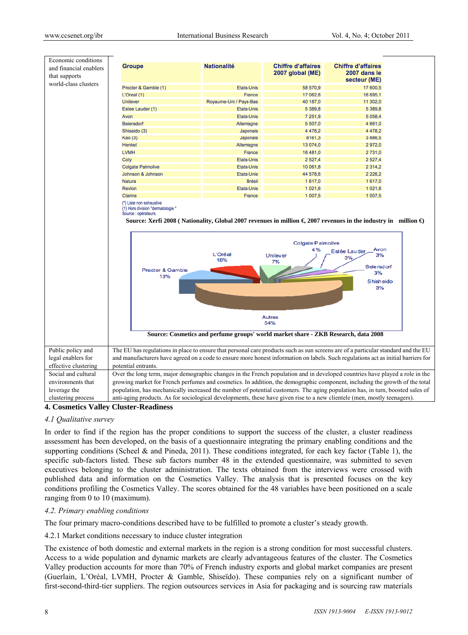

## *4.1 Qualitative survey*

In order to find if the region has the proper conditions to support the success of the cluster, a cluster readiness assessment has been developed, on the basis of a questionnaire integrating the primary enabling conditions and the supporting conditions (Scheel & and Pineda, 2011). These conditions integrated, for each key factor (Table 1), the specific sub-factors listed. These sub factors number 48 in the extended questionnaire, was submitted to seven executives belonging to the cluster administration. The texts obtained from the interviews were crossed with published data and information on the Cosmetics Valley. The analysis that is presented focuses on the key conditions profiling the Cosmetics Valley. The scores obtained for the 48 variables have been positioned on a scale ranging from 0 to 10 (maximum).

## *4.2. Primary enabling conditions*

The four primary macro-conditions described have to be fulfilled to promote a cluster's steady growth.

4.2.1 Market conditions necessary to induce cluster integration

The existence of both domestic and external markets in the region is a strong condition for most successful clusters. Access to a wide population and dynamic markets are clearly advantageous features of the cluster. The Cosmetics Valley production accounts for more than 70% of French industry exports and global market companies are present (Guerlain, L'Oréal, LVMH, Procter & Gamble, Shiseïdo). These companies rely on a significant number of first-second-third-tier suppliers. The region outsources services in Asia for packaging and is sourcing raw materials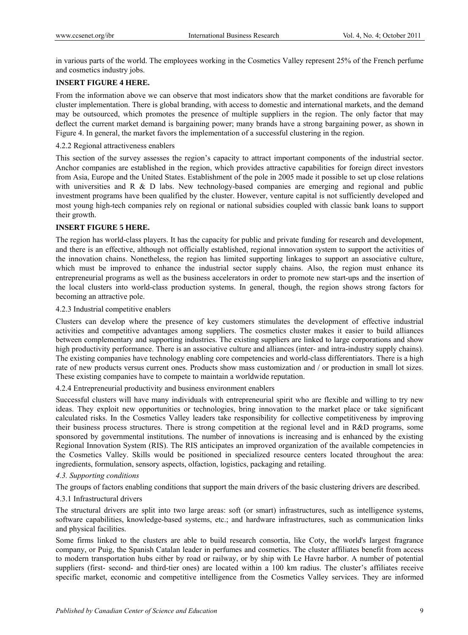in various parts of the world. The employees working in the Cosmetics Valley represent 25% of the French perfume and cosmetics industry jobs.

## **INSERT FIGURE 4 HERE.**

From the information above we can observe that most indicators show that the market conditions are favorable for cluster implementation. There is global branding, with access to domestic and international markets, and the demand may be outsourced, which promotes the presence of multiple suppliers in the region. The only factor that may deflect the current market demand is bargaining power; many brands have a strong bargaining power, as shown in Figure 4. In general, the market favors the implementation of a successful clustering in the region.

## 4.2.2 Regional attractiveness enablers

This section of the survey assesses the region's capacity to attract important components of the industrial sector. Anchor companies are established in the region, which provides attractive capabilities for foreign direct investors from Asia, Europe and the United States. Establishment of the pole in 2005 made it possible to set up close relations with universities and R & D labs. New technology-based companies are emerging and regional and public investment programs have been qualified by the cluster. However, venture capital is not sufficiently developed and most young high-tech companies rely on regional or national subsidies coupled with classic bank loans to support their growth.

## **INSERT FIGURE 5 HERE.**

The region has world-class players. It has the capacity for public and private funding for research and development, and there is an effective, although not officially established, regional innovation system to support the activities of the innovation chains. Nonetheless, the region has limited supporting linkages to support an associative culture, which must be improved to enhance the industrial sector supply chains. Also, the region must enhance its entrepreneurial programs as well as the business accelerators in order to promote new start-ups and the insertion of the local clusters into world-class production systems. In general, though, the region shows strong factors for becoming an attractive pole.

## 4.2.3 Industrial competitive enablers

Clusters can develop where the presence of key customers stimulates the development of effective industrial activities and competitive advantages among suppliers. The cosmetics cluster makes it easier to build alliances between complementary and supporting industries. The existing suppliers are linked to large corporations and show high productivity performance. There is an associative culture and alliances (inter- and intra-industry supply chains). The existing companies have technology enabling core competencies and world-class differentiators. There is a high rate of new products versus current ones. Products show mass customization and / or production in small lot sizes. These existing companies have to compete to maintain a worldwide reputation.

4.2.4 Entrepreneurial productivity and business environment enablers

Successful clusters will have many individuals with entrepreneurial spirit who are flexible and willing to try new ideas. They exploit new opportunities or technologies, bring innovation to the market place or take significant calculated risks. In the Cosmetics Valley leaders take responsibility for collective competitiveness by improving their business process structures. There is strong competition at the regional level and in R&D programs, some sponsored by governmental institutions. The number of innovations is increasing and is enhanced by the existing Regional Innovation System (RIS). The RIS anticipates an improved organization of the available competencies in the Cosmetics Valley. Skills would be positioned in specialized resource centers located throughout the area: ingredients, formulation, sensory aspects, olfaction, logistics, packaging and retailing.

## *4.3. Supporting conditions*

The groups of factors enabling conditions that support the main drivers of the basic clustering drivers are described.

## 4.3.1 Infrastructural drivers

The structural drivers are split into two large areas: soft (or smart) infrastructures, such as intelligence systems, software capabilities, knowledge-based systems, etc.; and hardware infrastructures, such as communication links and physical facilities.

Some firms linked to the clusters are able to build research consortia, like Coty, the world's largest fragrance company, or Puig, the Spanish Catalan leader in perfumes and cosmetics. The cluster affiliates benefit from access to modern transportation hubs either by road or railway, or by ship with Le Havre harbor. A number of potential suppliers (first- second- and third-tier ones) are located within a 100 km radius. The cluster's affiliates receive specific market, economic and competitive intelligence from the Cosmetics Valley services. They are informed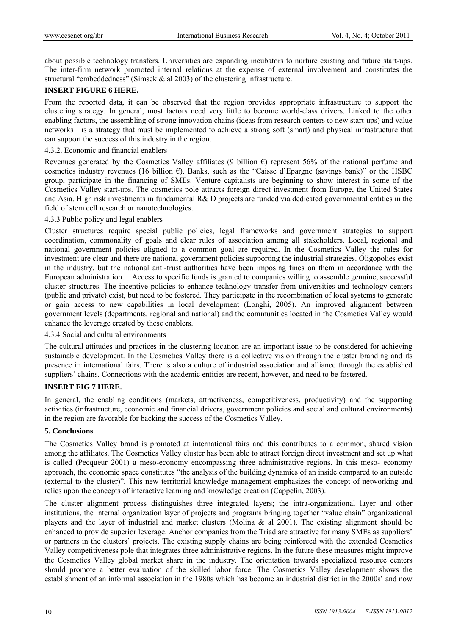about possible technology transfers. Universities are expanding incubators to nurture existing and future start-ups. The inter-firm network promoted internal relations at the expense of external involvement and constitutes the structural "embeddedness" (Simsek & al 2003) of the clustering infrastructure.

## **INSERT FIGURE 6 HERE.**

From the reported data, it can be observed that the region provides appropriate infrastructure to support the clustering strategy. In general, most factors need very little to become world-class drivers. Linked to the other enabling factors, the assembling of strong innovation chains (ideas from research centers to new start-ups) and value networks is a strategy that must be implemented to achieve a strong soft (smart) and physical infrastructure that can support the success of this industry in the region.

## 4.3.2. Economic and financial enablers

Revenues generated by the Cosmetics Valley affiliates (9 billion  $\epsilon$ ) represent 56% of the national perfume and cosmetics industry revenues (16 billion  $\epsilon$ ). Banks, such as the "Caisse d'Epargne (savings bank)" or the HSBC group, participate in the financing of SMEs. Venture capitalists are beginning to show interest in some of the Cosmetics Valley start-ups. The cosmetics pole attracts foreign direct investment from Europe, the United States and Asia. High risk investments in fundamental R& D projects are funded via dedicated governmental entities in the field of stem cell research or nanotechnologies.

## 4.3.3 Public policy and legal enablers

Cluster structures require special public policies, legal frameworks and government strategies to support coordination, commonality of goals and clear rules of association among all stakeholders. Local, regional and national government policies aligned to a common goal are required. In the Cosmetics Valley the rules for investment are clear and there are national government policies supporting the industrial strategies. Oligopolies exist in the industry, but the national anti-trust authorities have been imposing fines on them in accordance with the European administration. Access to specific funds is granted to companies willing to assemble genuine, successful cluster structures. The incentive policies to enhance technology transfer from universities and technology centers (public and private) exist, but need to be fostered. They participate in the recombination of local systems to generate or gain access to new capabilities in local development (Longhi, 2005). An improved alignment between government levels (departments, regional and national) and the communities located in the Cosmetics Valley would enhance the leverage created by these enablers.

## 4.3.4 Social and cultural environments

The cultural attitudes and practices in the clustering location are an important issue to be considered for achieving sustainable development. In the Cosmetics Valley there is a collective vision through the cluster branding and its presence in international fairs. There is also a culture of industrial association and alliance through the established suppliers' chains. Connections with the academic entities are recent, however, and need to be fostered.

## **INSERT FIG 7 HERE.**

In general, the enabling conditions (markets, attractiveness, competitiveness, productivity) and the supporting activities (infrastructure, economic and financial drivers, government policies and social and cultural environments) in the region are favorable for backing the success of the Cosmetics Valley.

## **5. Conclusions**

The Cosmetics Valley brand is promoted at international fairs and this contributes to a common, shared vision among the affiliates. The Cosmetics Valley cluster has been able to attract foreign direct investment and set up what is called (Pecqueur 2001) a meso-economy encompassing three administrative regions. In this meso- economy approach, the economic space constitutes "the analysis of the building dynamics of an inside compared to an outside (external to the cluster)"**.** This new territorial knowledge management emphasizes the concept of networking and relies upon the concepts of interactive learning and knowledge creation (Cappelin, 2003).

The cluster alignment process distinguishes three integrated layers; the intra-organizational layer and other institutions, the internal organization layer of projects and programs bringing together "value chain" organizational players and the layer of industrial and market clusters (Molina & al 2001). The existing alignment should be enhanced to provide superior leverage. Anchor companies from the Triad are attractive for many SMEs as suppliers' or partners in the clusters' projects. The existing supply chains are being reinforced with the extended Cosmetics Valley competitiveness pole that integrates three administrative regions. In the future these measures might improve the Cosmetics Valley global market share in the industry. The orientation towards specialized resource centers should promote a better evaluation of the skilled labor force. The Cosmetics Valley development shows the establishment of an informal association in the 1980s which has become an industrial district in the 2000s' and now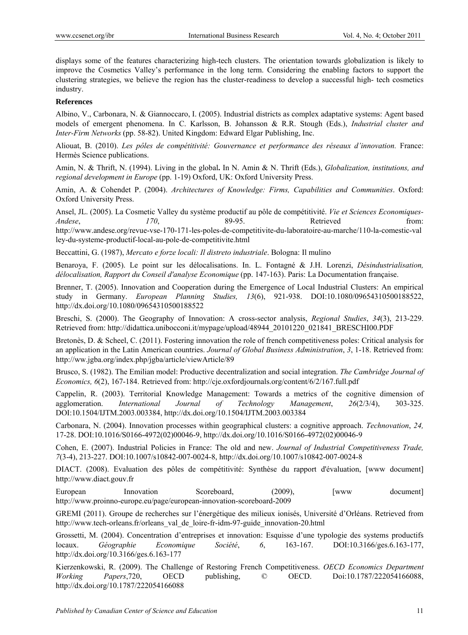displays some of the features characterizing high-tech clusters. The orientation towards globalization is likely to improve the Cosmetics Valley's performance in the long term. Considering the enabling factors to support the clustering strategies, we believe the region has the cluster-readiness to develop a successful high- tech cosmetics industry.

## **References**

Albino, V., Carbonara, N. & Giannoccaro, I. (2005). Industrial districts as complex adaptative systems: Agent based models of emergent phenomena. In C. Karlsson, B. Johansson & R.R. Stough (Eds.), *Industrial cluster and Inter-Firm Networks* (pp. 58-82). United Kingdom: Edward Elgar Publishing, Inc.

Aliouat, B. (2010). *Les pôles de compétitivité: Gouvernance et performance des réseaux d'innovation.* France: Hermès Science publications.

Amin, N. & Thrift, N. (1994). Living in the global**.** In N. Amin & N. Thrift (Eds.), *Globalization, institutions, and regional development in Europe* (pp. 1-19) Oxford, UK: Oxford University Press.

Amin, A. & Cohendet P. (2004). *Architectures of Knowledge: Firms, Capabilities and Communities*. Oxford: Oxford University Press.

Ansel, JL. (2005). La Cosmetic Valley du système productif au pôle de compétitivité. *Vie et Sciences Economiques-Andese*, *170*, 89-95. Retrieved from:

http://www.andese.org/revue-vse-170-171-les-poles-de-competitivite-du-laboratoire-au-marche/110-la-comestic-val ley-du-systeme-productif-local-au-pole-de-competitivite.html

Beccattini, G. (1987), *Mercato e forze locali: Il distreto industriale*. Bologna: Il mulino

Benaroya, F. (2005). Le point sur les délocalisations. In. L. Fontagné & J.H. Lorenzi, *Désindustrialisation, délocalisation, Rapport du Conseil d'analyse Economique* (pp. 147-163). Paris: La Documentation française.

Brenner, T. (2005). Innovation and Cooperation during the Emergence of Local Industrial Clusters: An empirical study in Germany. *European Planning Studies, 13*(6), 921-938. DOI:10.1080/09654310500188522, http://dx.doi.org/10.1080/09654310500188522

Breschi, S. (2000). The Geography of Innovation: A cross-sector analysis, *Regional Studies*, *34*(3), 213-229. Retrieved from: http://didattica.unibocconi.it/mypage/upload/48944\_20101220\_021841\_BRESCHI00.PDF

Bretonès, D. & Scheel, C. (2011). Fostering innovation the role of french competitiveness poles: Critical analysis for an application in the Latin American countries. *Journal of Global Business Administration*, *3*, 1-18. Retrieved from: http://ww.jgba.org/index.php/jgba/article/viewArticle/89

Brusco, S. (1982). The Emilian model: Productive decentralization and social integration. *The Cambridge Journal of Economics, 6*(2), 167-184. Retrieved from: http://cje.oxfordjournals.org/content/6/2/167.full.pdf

Cappelin, R. (2003). Territorial Knowledge Management: Towards a metrics of the cognitive dimension of agglomeration. *International Journal of Technology Management*, *26*(2/3/4), 303-325. DOI:10.1504/IJTM.2003.003384, http://dx.doi.org/10.1504/IJTM.2003.003384

Carbonara, N. (2004). Innovation processes within geographical clusters: a cognitive approach. *Technovation*, *24,*  17-28. DOI:10.1016/S0166-4972(02)00046-9, http://dx.doi.org/10.1016/S0166-4972(02)00046-9

Cohen, E. (2007). Industrial Policies in France: The old and new. *Journal of Industrial Competitiveness Trade, 7*(3-4), 213-227. DOI:10.1007/s10842-007-0024-8, http://dx.doi.org/10.1007/s10842-007-0024-8

DIACT. (2008). Evaluation des pôles de compétitivité: Synthèse du rapport d'évaluation, [www document] http://www.diact.gouv.fr

European Innovation Scoreboard, (2009), [www document] http://www.proinno-europe.eu/page/european-innovation-scoreboard-2009

GREMI (2011). Groupe de recherches sur l'énergétique des milieux ionisés, Université d'Orléans. Retrieved from http://www.tech-orleans.fr/orleans\_val\_de\_loire-fr-idm-97-guide\_innovation-20.html

Grossetti, M. (2004). Concentration d'entreprises et innovation: Esquisse d'une typologie des systems productifs locaux. *Géographie Economique Société*, *6*, 163-167. DOI:10.3166/ges.6.163-177, http://dx.doi.org/10.3166/ges.6.163-177

Kierzenkowski, R. (2009). The Challenge of Restoring French Competitiveness. *OECD Economics Department Working Papers*,720, OECD publishing, © OECD. Doi:10.1787/222054166088, http://dx.doi.org/10.1787/222054166088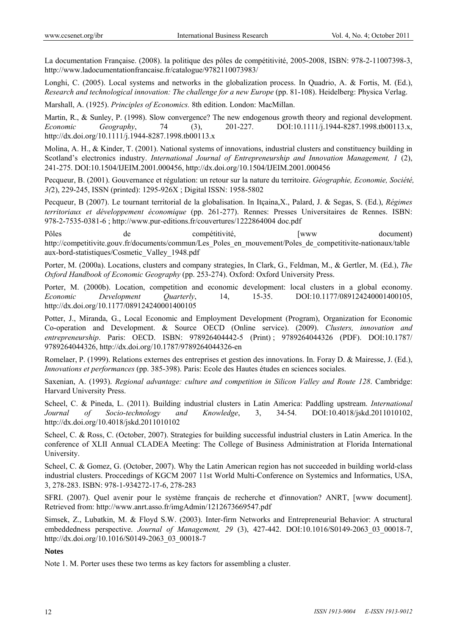La documentation Française. (2008). la politique des pôles de compétitivité, 2005-2008, ISBN: 978-2-11007398-3, http://www.ladocumentationfrancaise.fr/catalogue/9782110073983/

Longhi, C. (2005). Local systems and networks in the globalization process. In Quadrio, A. & Fortis, M. (Ed.), *Research and technological innovation: The challenge for a new Europe* (pp. 81-108). Heidelberg: Physica Verlag.

Marshall, A. (1925). *Principles of Economics.* 8th edition. London: MacMillan.

Martin, R., & Sunley, P. (1998). Slow convergence? The new endogenous growth theory and regional development. *Economic Geography*, 74 (3), 201-227. DOI:10.1111/j.1944-8287.1998.tb00113.x, http://dx.doi.org/10.1111/j.1944-8287.1998.tb00113.x

Molina, A. H., & Kinder, T. (2001). National systems of innovations, industrial clusters and constituency building in Scotland's electronics industry. *International Journal of Entrepreneurship and Innovation Management, 1* (2), 241-275. DOI:10.1504/IJEIM.2001.000456, http://dx.doi.org/10.1504/IJEIM.2001.000456

Pecqueur, B. (2001). Gouvernance et régulation: un retour sur la nature du territoire. *Géographie, Economie, Société, 3(*2), 229-245, ISSN (printed): 1295-926X ; Digital ISSN: 1958-5802

Pecqueur, B (2007). Le tournant territorial de la globalisation. In Itçaina,X., Palard, J. & Segas, S. (Ed.), *Régimes territoriaux et développement économique* (pp. 261-277). Rennes: Presses Universitaires de Rennes. ISBN: 978-2-7535-0381-6 ; http://www.pur-editions.fr/couvertures/1222864004 doc.pdf

Pôles de compétitivité,  $\begin{array}{ccc} \text{[www]} & \text{I} & \text{I} \\ \text{I} & \text{I} & \text{I} \\ \text{I} & \text{I} & \text{I} \end{array}$ http://competitivite.gouv.fr/documents/commun/Les\_Poles\_en\_mouvement/Poles\_de\_competitivite-nationaux/table aux-bord-statistiques/Cosmetic\_Valley\_1948.pdf

Porter, M. (2000a). Locations, clusters and company strategies, In Clark, G., Feldman, M., & Gertler, M. (Ed.), *The Oxford Handbook of Economic Geography* (pp. 253-274). Oxford: Oxford University Press.

Porter, M. (2000b). Location, competition and economic development: local clusters in a global economy. *Economic Development Quarterly*, 14, 15-35. DOI:10.1177/089124240001400105, http://dx.doi.org/10.1177/089124240001400105

Potter, J., Miranda, G., Local Economic and Employment Development (Program), Organization for Economic Co-operation and Development. & Source OECD (Online service). (2009). *Clusters, innovation and entrepreneurship*. Paris: OECD. ISBN: 978926404442-5 (Print) ; 9789264044326 (PDF). DOI:10.1787/ 9789264044326, http://dx.doi.org/10.1787/9789264044326-en

Romelaer, P. (1999). Relations externes des entreprises et gestion des innovations. In. Foray D. & Mairesse, J. (Ed.), *Innovations et performances* (pp. 385-398). Paris: Ecole des Hautes études en sciences sociales.

Saxenian, A. (1993). *Regional advantage: culture and competition in Silicon Valley and Route 128*. Cambridge: Harvard University Press.

Scheel, C. & Pineda, L. (2011). Building industrial clusters in Latin America: Paddling upstream. *International Journal of Socio-technology and Knowledge*, 3, 34-54. DOI:10.4018/jskd.2011010102, http://dx.doi.org/10.4018/jskd.2011010102

Scheel, C. & Ross, C. (October, 2007). Strategies for building successful industrial clusters in Latin America. In the conference of XLII Annual CLADEA Meeting: The College of Business Administration at Florida International University.

Scheel, C. & Gomez, G. (October, 2007). Why the Latin American region has not succeeded in building world-class industrial clusters. Proccedings of KGCM 2007 11st World Multi-Conference on Systemics and Informatics, USA, 3, 278-283. ISBN: 978-1-934272-17-6, 278-283

SFRI. (2007). Quel avenir pour le système français de recherche et d'innovation? ANRT, [www document]. Retrieved from: http://www.anrt.asso.fr/imgAdmin/1212673669547.pdf

Simsek, Z., Lubatkin, M. & Floyd S.W. (2003). Inter-firm Networks and Entrepreneurial Behavior: A structural embeddedness perspective. *Journal of Management, 29* (3), 427-442. DOI:10.1016/S0149-2063\_03\_00018-7, http://dx.doi.org/10.1016/S0149-2063\_03\_00018-7

## **Notes**

Note 1. M. Porter uses these two terms as key factors for assembling a cluster.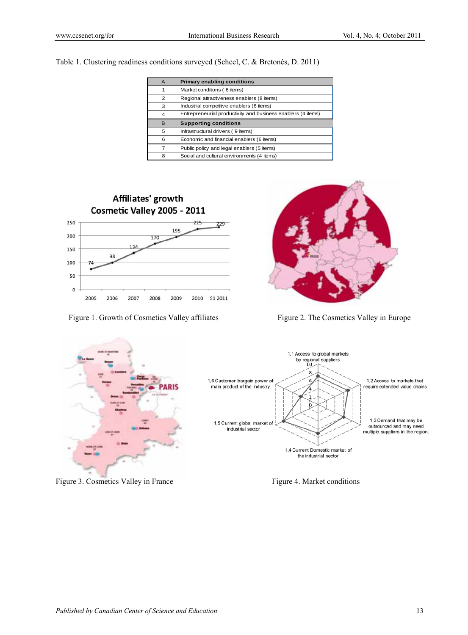Table 1. Clustering readiness conditions surveyed (Scheel, C. & Bretonès, D. 2011)

|   | Primary enabling conditions                                  |
|---|--------------------------------------------------------------|
| 1 | Market conditions (6 items)                                  |
| 2 | Regional attractiveness enablers (8 items)                   |
| 3 | Industrial competitive enablers (6 items)                    |
|   | Entrepreneurial productivity and business enablers (4 items) |
|   |                                                              |
| B | <b>Supporting conditions</b>                                 |
| 5 | Infrastructural drivers (9 items)                            |
| 6 | Economic and financial enablers (6 items)                    |
|   | Public policy and legal enablers (5 items)                   |



Figure 1. Growth of Cosmetics Valley affiliates Figure 2. The Cosmetics Valley in Europe





Figure 3. Cosmetics Valley in France **Figure 4. Market conditions**